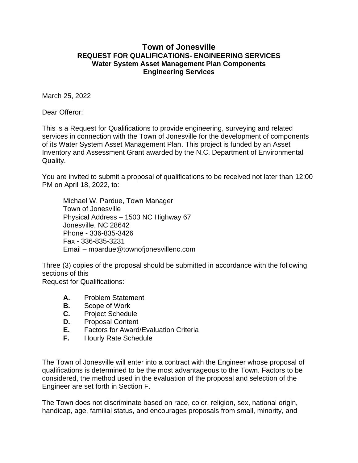## **Town of Jonesville REQUEST FOR QUALIFICATIONS- ENGINEERING SERVICES Water System Asset Management Plan Components Engineering Services**

March 25, 2022

Dear Offeror:

This is a Request for Qualifications to provide engineering, surveying and related services in connection with the Town of Jonesville for the development of components of its Water System Asset Management Plan. This project is funded by an Asset Inventory and Assessment Grant awarded by the N.C. Department of Environmental Quality.

You are invited to submit a proposal of qualifications to be received not later than 12:00 PM on April 18, 2022, to:

Michael W. Pardue, Town Manager Town of Jonesville Physical Address – 1503 NC Highway 67 Jonesville, NC 28642 Phone - 336-835-3426 Fax - 336-835-3231 Email – mpardue@townofjonesvillenc.com

Three (3) copies of the proposal should be submitted in accordance with the following sections of this Request for Qualifications:

- **A.** Problem Statement
- **B.** Scope of Work
- **C.** Project Schedule
- **D.** Proposal Content
- **E.** Factors for Award/Evaluation Criteria
- **F.** Hourly Rate Schedule

The Town of Jonesville will enter into a contract with the Engineer whose proposal of qualifications is determined to be the most advantageous to the Town. Factors to be considered, the method used in the evaluation of the proposal and selection of the Engineer are set forth in Section F.

The Town does not discriminate based on race, color, religion, sex, national origin, handicap, age, familial status, and encourages proposals from small, minority, and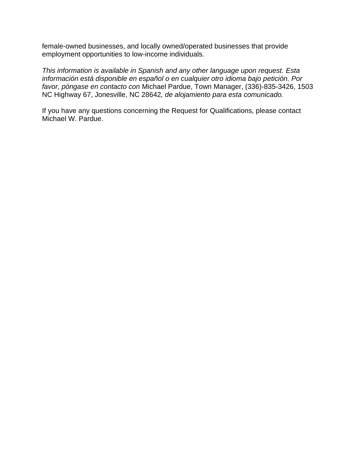female-owned businesses, and locally owned/operated businesses that provide employment opportunities to low-income individuals.

*This information is available in Spanish and any other language upon request. Esta información está disponible en español o en cualquier otro idioma bajo petición. Por favor, póngase en contacto con* Michael Pardue, Town Manager, (336)-835-3426, 1503 NC Highway 67, Jonesville, NC 28642*, de alojamiento para esta comunicado.*

If you have any questions concerning the Request for Qualifications, please contact Michael W. Pardue.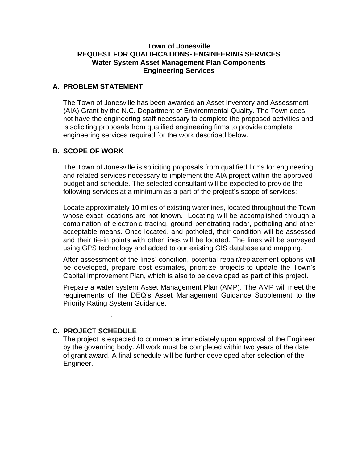#### **Town of Jonesville REQUEST FOR QUALIFICATIONS- ENGINEERING SERVICES Water System Asset Management Plan Components Engineering Services**

## **A. PROBLEM STATEMENT**

The Town of Jonesville has been awarded an Asset Inventory and Assessment (AIA) Grant by the N.C. Department of Environmental Quality. The Town does not have the engineering staff necessary to complete the proposed activities and is soliciting proposals from qualified engineering firms to provide complete engineering services required for the work described below.

## **B. SCOPE OF WORK**

The Town of Jonesville is soliciting proposals from qualified firms for engineering and related services necessary to implement the AIA project within the approved budget and schedule. The selected consultant will be expected to provide the following services at a minimum as a part of the project's scope of services:

Locate approximately 10 miles of existing waterlines, located throughout the Town whose exact locations are not known. Locating will be accomplished through a combination of electronic tracing, ground penetrating radar, potholing and other acceptable means. Once located, and potholed, their condition will be assessed and their tie-in points with other lines will be located. The lines will be surveyed using GPS technology and added to our existing GIS database and mapping.

After assessment of the lines' condition, potential repair/replacement options will be developed, prepare cost estimates, prioritize projects to update the Town's Capital Improvement Plan, which is also to be developed as part of this project.

Prepare a water system Asset Management Plan (AMP). The AMP will meet the requirements of the DEQ's Asset Management Guidance Supplement to the Priority Rating System Guidance.

#### **C. PROJECT SCHEDULE**

.

The project is expected to commence immediately upon approval of the Engineer by the governing body. All work must be completed within two years of the date of grant award. A final schedule will be further developed after selection of the Engineer.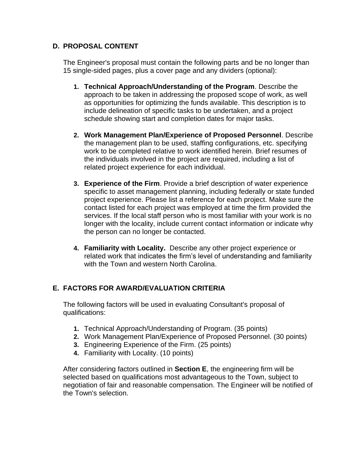# **D. PROPOSAL CONTENT**

The Engineer's proposal must contain the following parts and be no longer than 15 single-sided pages, plus a cover page and any dividers (optional):

- **1. Technical Approach/Understanding of the Program**. Describe the approach to be taken in addressing the proposed scope of work, as well as opportunities for optimizing the funds available. This description is to include delineation of specific tasks to be undertaken, and a project schedule showing start and completion dates for major tasks.
- **2. Work Management Plan/Experience of Proposed Personnel**. Describe the management plan to be used, staffing configurations, etc. specifying work to be completed relative to work identified herein. Brief resumes of the individuals involved in the project are required, including a list of related project experience for each individual.
- **3. Experience of the Firm**. Provide a brief description of water experience specific to asset management planning, including federally or state funded project experience. Please list a reference for each project. Make sure the contact listed for each project was employed at time the firm provided the services. If the local staff person who is most familiar with your work is no longer with the locality, include current contact information or indicate why the person can no longer be contacted.
- **4. Familiarity with Locality.** Describe any other project experience or related work that indicates the firm's level of understanding and familiarity with the Town and western North Carolina.

# **E. FACTORS FOR AWARD/EVALUATION CRITERIA**

The following factors will be used in evaluating Consultant's proposal of qualifications:

- **1.** Technical Approach/Understanding of Program. (35 points)
- **2.** Work Management Plan/Experience of Proposed Personnel. (30 points)
- **3.** Engineering Experience of the Firm. (25 points)
- **4.** Familiarity with Locality. (10 points)

After considering factors outlined in **Section E**, the engineering firm will be selected based on qualifications most advantageous to the Town, subject to negotiation of fair and reasonable compensation. The Engineer will be notified of the Town's selection.